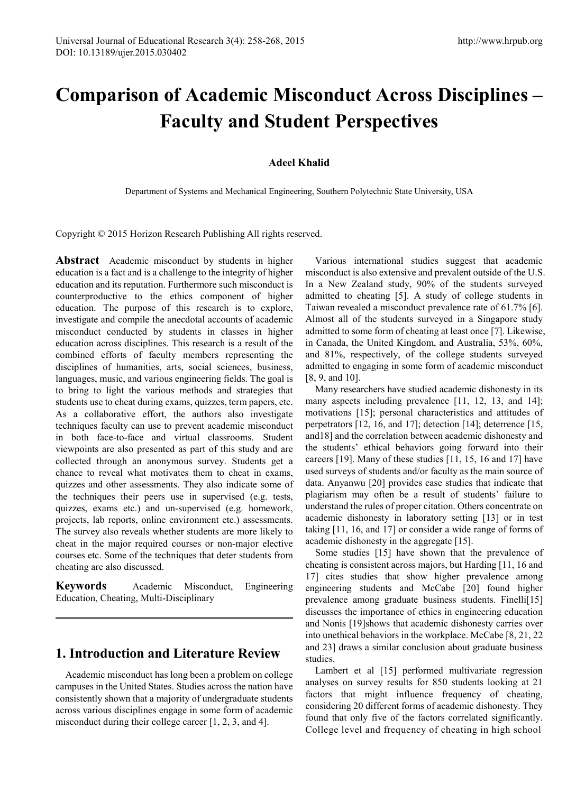# **Comparison of Academic Misconduct Across Disciplines – Faculty and Student Perspectives**

## **Adeel Khalid**

Department of Systems and Mechanical Engineering, Southern Polytechnic State University, USA

Copyright © 2015 Horizon Research Publishing All rights reserved.

**Abstract** Academic misconduct by students in higher education is a fact and is a challenge to the integrity of higher education and its reputation. Furthermore such misconduct is counterproductive to the ethics component of higher education. The purpose of this research is to explore, investigate and compile the anecdotal accounts of academic misconduct conducted by students in classes in higher education across disciplines. This research is a result of the combined efforts of faculty members representing the disciplines of humanities, arts, social sciences, business, languages, music, and various engineering fields. The goal is to bring to light the various methods and strategies that students use to cheat during exams, quizzes, term papers, etc. As a collaborative effort, the authors also investigate techniques faculty can use to prevent academic misconduct in both face-to-face and virtual classrooms. Student viewpoints are also presented as part of this study and are collected through an anonymous survey. Students get a chance to reveal what motivates them to cheat in exams, quizzes and other assessments. They also indicate some of the techniques their peers use in supervised (e.g. tests, quizzes, exams etc.) and un-supervised (e.g. homework, projects, lab reports, online environment etc.) assessments. The survey also reveals whether students are more likely to cheat in the major required courses or non-major elective courses etc. Some of the techniques that deter students from cheating are also discussed.

**Keywords** Academic Misconduct, Engineering Education, Cheating, Multi-Disciplinary

## **1. Introduction and Literature Review**

Academic misconduct has long been a problem on college campuses in the United States. Studies across the nation have consistently shown that a majority of undergraduate students across various disciplines engage in some form of academic misconduct during their college career [1, 2, 3, and 4].

Various international studies suggest that academic misconduct is also extensive and prevalent outside of the U.S. In a New Zealand study, 90% of the students surveyed admitted to cheating [5]. A study of college students in Taiwan revealed a misconduct prevalence rate of 61.7% [6]. Almost all of the students surveyed in a Singapore study admitted to some form of cheating at least once [7]. Likewise, in Canada, the United Kingdom, and Australia, 53%, 60%, and 81%, respectively, of the college students surveyed admitted to engaging in some form of academic misconduct [8, 9, and 10].

Many researchers have studied academic dishonesty in its many aspects including prevalence [11, 12, 13, and 14]; motivations [15]; personal characteristics and attitudes of perpetrators [12, 16, and 17]; detection [14]; deterrence [15, and18] and the correlation between academic dishonesty and the students' ethical behaviors going forward into their careers [19]. Many of these studies [11, 15, 16 and 17] have used surveys of students and/or faculty as the main source of data. Anyanwu [20] provides case studies that indicate that plagiarism may often be a result of students' failure to understand the rules of proper citation. Others concentrate on academic dishonesty in laboratory setting [13] or in test taking [11, 16, and 17] or consider a wide range of forms of academic dishonesty in the aggregate [15].

Some studies [15] have shown that the prevalence of cheating is consistent across majors, but Harding [11, 16 and 17] cites studies that show higher prevalence among engineering students and McCabe [20] found higher prevalence among graduate business students. Finelli[15] discusses the importance of ethics in engineering education and Nonis [19]shows that academic dishonesty carries over into unethical behaviors in the workplace. McCabe [8, 21, 22 and 23] draws a similar conclusion about graduate business studies.

Lambert et al [15] performed multivariate regression analyses on survey results for 850 students looking at 21 factors that might influence frequency of cheating, considering 20 different forms of academic dishonesty. They found that only five of the factors correlated significantly. College level and frequency of cheating in high school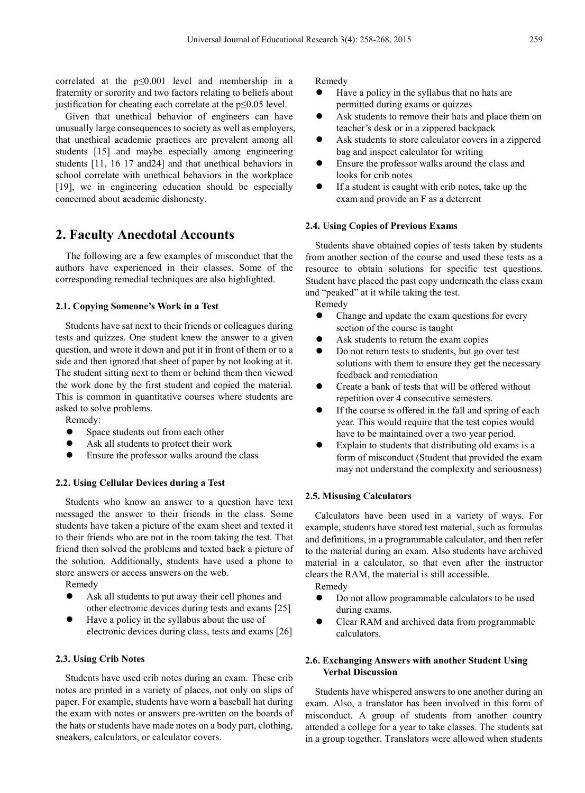correlated at the p≤0.001 level and membership in a fraternity or sorority and two factors relating to beliefs about justification for cheating each correlate at the p≤0.05 level.

Given that unethical behavior of engineers can have unusually large consequences to society as well as employers, that unethical academic practices are prevalent among all students [15] and maybe especially among engineering students [11, 16 17 and24] and that unethical behaviors in school correlate with unethical behaviors in the workplace [19], we in engineering education should be especially concerned about academic dishonesty.

# **2. Faculty Anecdotal Accounts**

The following are a few examples of misconduct that the authors have experienced in their classes. Some of the corresponding remedial techniques are also highlighted.

#### **2.1. Copying Someone's Work in a Test**

Students have sat next to their friends or colleagues during tests and quizzes. One student knew the answer to a given question, and wrote it down and put it in front of them or to a side and then ignored that sheet of paper by not looking at it. The student sitting next to them or behind them then viewed the work done by the first student and copied the material. This is common in quantitative courses where students are asked to solve problems.

Remedy:

- Space students out from each other
- Ask all students to protect their work
- Ensure the professor walks around the class

### **2.2. Using Cellular Devices during a Test**

Students who know an answer to a question have text messaged the answer to their friends in the class. Some students have taken a picture of the exam sheet and texted it to their friends who are not in the room taking the test. That friend then solved the problems and texted back a picture of the solution. Additionally, students have used a phone to store answers or access answers on the web.

Remedy

- Ask all students to put away their cell phones and other electronic devices during tests and exams [25]
- Have a policy in the syllabus about the use of electronic devices during class, tests and exams [26]

#### **2.3. Using Crib Notes**

Students have used crib notes during an exam. These crib notes are printed in a variety of places, not only on slips of paper. For example, students have worn a baseball hat during the exam with notes or answers pre-written on the boards of the hats or students have made notes on a body part, clothing, sneakers, calculators, or calculator covers.

Remedy

- Have a policy in the syllabus that no hats are permitted during exams or quizzes
- Ask students to remove their hats and place them on teacher's desk or in a zippered backpack
- Ask students to store calculator covers in a zippered bag and inspect calculator for writing
- Ensure the professor walks around the class and looks for crib notes
- If a student is caught with crib notes, take up the exam and provide an F as a deterrent

#### **2.4. Using Copies of Previous Exams**

Students shave obtained copies of tests taken by students from another section of the course and used these tests as a resource to obtain solutions for specific test questions. Student have placed the past copy underneath the class exam and "peaked" at it while taking the test.

Remedy

- Change and update the exam questions for every section of the course is taught
- Ask students to return the exam copies
- Do not return tests to students, but go over test solutions with them to ensure they get the necessary feedback and remediation
- Create a bank of tests that will be offered without repetition over 4 consecutive semesters.
- If the course is offered in the fall and spring of each year. This would require that the test copies would have to be maintained over a two year period.
- Explain to students that distributing old exams is a form of misconduct (Student that provided the exam may not understand the complexity and seriousness)

#### **2.5. Misusing Calculators**

Calculators have been used in a variety of ways. For example, students have stored test material, such as formulas and definitions, in a programmable calculator, and then refer to the material during an exam. Also students have archived material in a calculator, so that even after the instructor clears the RAM, the material is still accessible.

Remedy

- Do not allow programmable calculators to be used during exams.
- Clear RAM and archived data from programmable calculators.

### **2.6. Exchanging Answers with another Student Using Verbal Discussion**

Students have whispered answers to one another during an exam. Also, a translator has been involved in this form of misconduct. A group of students from another country attended a college for a year to take classes. The students sat in a group together. Translators were allowed when students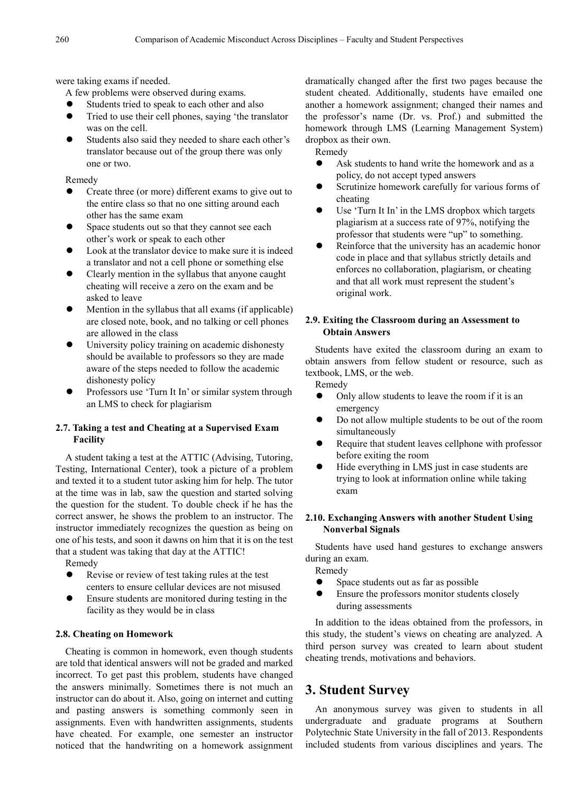were taking exams if needed.

A few problems were observed during exams.

- Students tried to speak to each other and also
- Tried to use their cell phones, saying 'the translator was on the cell.
- Students also said they needed to share each other's translator because out of the group there was only one or two.

Remedy

- Create three (or more) different exams to give out to the entire class so that no one sitting around each other has the same exam
- Space students out so that they cannot see each other's work or speak to each other
- Look at the translator device to make sure it is indeed a translator and not a cell phone or something else
- Clearly mention in the syllabus that anyone caught cheating will receive a zero on the exam and be asked to leave
- Mention in the syllabus that all exams (if applicable) are closed note, book, and no talking or cell phones are allowed in the class
- University policy training on academic dishonesty should be available to professors so they are made aware of the steps needed to follow the academic dishonesty policy
- Professors use 'Turn It In' or similar system through an LMS to check for plagiarism

## **2.7. Taking a test and Cheating at a Supervised Exam Facility**

A student taking a test at the ATTIC (Advising, Tutoring, Testing, International Center), took a picture of a problem and texted it to a student tutor asking him for help. The tutor at the time was in lab, saw the question and started solving the question for the student. To double check if he has the correct answer, he shows the problem to an instructor. The instructor immediately recognizes the question as being on one of his tests, and soon it dawns on him that it is on the test that a student was taking that day at the ATTIC!

Remedy

- Revise or review of test taking rules at the test centers to ensure cellular devices are not misused
- Ensure students are monitored during testing in the facility as they would be in class

#### **2.8. Cheating on Homework**

Cheating is common in homework, even though students are told that identical answers will not be graded and marked incorrect. To get past this problem, students have changed the answers minimally. Sometimes there is not much an instructor can do about it. Also, going on internet and cutting and pasting answers is something commonly seen in assignments. Even with handwritten assignments, students have cheated. For example, one semester an instructor noticed that the handwriting on a homework assignment

dramatically changed after the first two pages because the student cheated. Additionally, students have emailed one another a homework assignment; changed their names and the professor's name (Dr. vs. Prof.) and submitted the homework through LMS (Learning Management System) dropbox as their own.

Remedy

- Ask students to hand write the homework and as a policy, do not accept typed answers
- Scrutinize homework carefully for various forms of cheating
- Use 'Turn It In' in the LMS dropbox which targets plagiarism at a success rate of 97%, notifying the professor that students were "up" to something.
- Reinforce that the university has an academic honor code in place and that syllabus strictly details and enforces no collaboration, plagiarism, or cheating and that all work must represent the student's original work.

## **2.9. Exiting the Classroom during an Assessment to Obtain Answers**

Students have exited the classroom during an exam to obtain answers from fellow student or resource, such as textbook, LMS, or the web.

Remedy

- Only allow students to leave the room if it is an emergency
- Do not allow multiple students to be out of the room simultaneously
- Require that student leaves cellphone with professor before exiting the room
- Hide everything in LMS just in case students are trying to look at information online while taking exam

### **2.10. Exchanging Answers with another Student Using Nonverbal Signals**

Students have used hand gestures to exchange answers during an exam.

Remedy

- Space students out as far as possible
- Ensure the professors monitor students closely during assessments

In addition to the ideas obtained from the professors, in this study, the student's views on cheating are analyzed. A third person survey was created to learn about student cheating trends, motivations and behaviors.

# **3. Student Survey**

An anonymous survey was given to students in all undergraduate and graduate programs at Southern Polytechnic State University in the fall of 2013. Respondents included students from various disciplines and years. The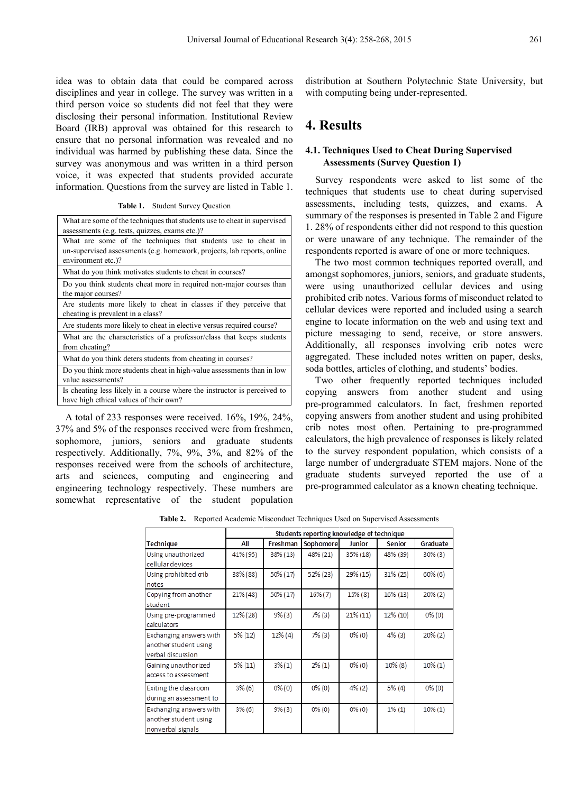idea was to obtain data that could be compared across disciplines and year in college. The survey was written in a third person voice so students did not feel that they were disclosing their personal information. Institutional Review Board (IRB) approval was obtained for this research to ensure that no personal information was revealed and no individual was harmed by publishing these data. Since the survey was anonymous and was written in a third person voice, it was expected that students provided accurate information. Questions from the survey are listed in Table 1.

**Table 1.** Student Survey Question

| What are some of the techniques that students use to cheat in supervised<br>assessments (e.g. tests, quizzes, exams etc.)?                                     |
|----------------------------------------------------------------------------------------------------------------------------------------------------------------|
| What are some of the techniques that students use to cheat in<br>un-supervised assessments (e.g. homework, projects, lab reports, online<br>environment etc.)? |
| What do you think motivates students to cheat in courses?                                                                                                      |
| Do you think students cheat more in required non-major courses than<br>the major courses?                                                                      |
| Are students more likely to cheat in classes if they perceive that<br>cheating is prevalent in a class?                                                        |
| Are students more likely to cheat in elective versus required course?                                                                                          |
| What are the characteristics of a professor/class that keeps students<br>from cheating?                                                                        |
| What do you think deters students from cheating in courses?                                                                                                    |
| Do you think more students cheat in high-value assessments than in low<br>value assessments?                                                                   |
| Is cheating less likely in a course where the instructor is perceived to<br>have high ethical values of their own?                                             |

A total of 233 responses were received. 16%, 19%, 24%, 37% and 5% of the responses received were from freshmen, sophomore, juniors, seniors and graduate students respectively. Additionally, 7%, 9%, 3%, and 82% of the responses received were from the schools of architecture, arts and sciences, computing and engineering and engineering technology respectively. These numbers are somewhat representative of the student population

distribution at Southern Polytechnic State University, but with computing being under-represented.

# **4. Results**

#### **4.1. Techniques Used to Cheat During Supervised Assessments (Survey Question 1)**

Survey respondents were asked to list some of the techniques that students use to cheat during supervised assessments, including tests, quizzes, and exams. A summary of the responses is presented in Table 2 and Figure 1. 28% of respondents either did not respond to this question or were unaware of any technique. The remainder of the respondents reported is aware of one or more techniques.

The two most common techniques reported overall, and amongst sophomores, juniors, seniors, and graduate students, were using unauthorized cellular devices and using prohibited crib notes. Various forms of misconduct related to cellular devices were reported and included using a search engine to locate information on the web and using text and picture messaging to send, receive, or store answers. Additionally, all responses involving crib notes were aggregated. These included notes written on paper, desks, soda bottles, articles of clothing, and students' bodies.

Two other frequently reported techniques included copying answers from another student and using pre-programmed calculators. In fact, freshmen reported copying answers from another student and using prohibited crib notes most often. Pertaining to pre-programmed calculators, the high prevalence of responses is likely related to the survey respondent population, which consists of a large number of undergraduate STEM majors. None of the graduate students surveyed reported the use of a pre-programmed calculator as a known cheating technique.

**Table 2.** Reported Academic Misconduct Techniques Used on Supervised Assessments

|                                                                       | Students reporting knowledge of technique |            |            |             |           |            |
|-----------------------------------------------------------------------|-------------------------------------------|------------|------------|-------------|-----------|------------|
| Technique                                                             | All                                       | Freshman   | Sophomore  | Junior      | Senior    | Graduate   |
| Using unauthorized<br>cellular devices                                | 41% (95)                                  | 38% (13)   | 48% (21)   | 35% (18)    | 48% (39)  | $30\%$ (3) |
| Using prohibited crib<br>notes                                        | 38% (88)                                  | 50% (17)   | 52% (23)   | 29% (15)    | 31% (25)  | $60\%$ (6) |
| Copying from another<br>student                                       | 21% (48)                                  | 50% (17)   | $16\%$ (7) | $15\%$ (8)  | 16% (13)  | $20\%$ (2) |
| Using pre-programmed<br>calculators                                   | 12% (28)                                  | 9% (3)     | 7% (3)     | $21\%$ (11) | 12% (10)  | $0\%$ (0)  |
| Exchanging answers with<br>another student using<br>verbal discussion | 5% (12)                                   | $12\%$ (4) | 7% (3)     | $0\%$ (0)   | $4\%$ (3) | $20\%$ (2) |
| Gaining unauthorized<br>access to assessment                          | 5% (11)                                   | $3\%(1)$   | $2\%$ (1)  | $0\%$ (0)   | 10% (8)   | $10\%(1)$  |
| Exiting the classroom<br>during an assessment to                      | 3% (6)                                    | $0\%$ (0)  | $0\%$ (0)  | $4\%$ (2)   | 5% (4)    | $0\%$ (0)  |
| Exchanging answers with<br>another student using<br>nonverbal signals | $3\%$ (6)                                 | 9% (3)     | $0\%$ (0)  | $0\%$ (0)   | $1\%(1)$  | $10\%(1)$  |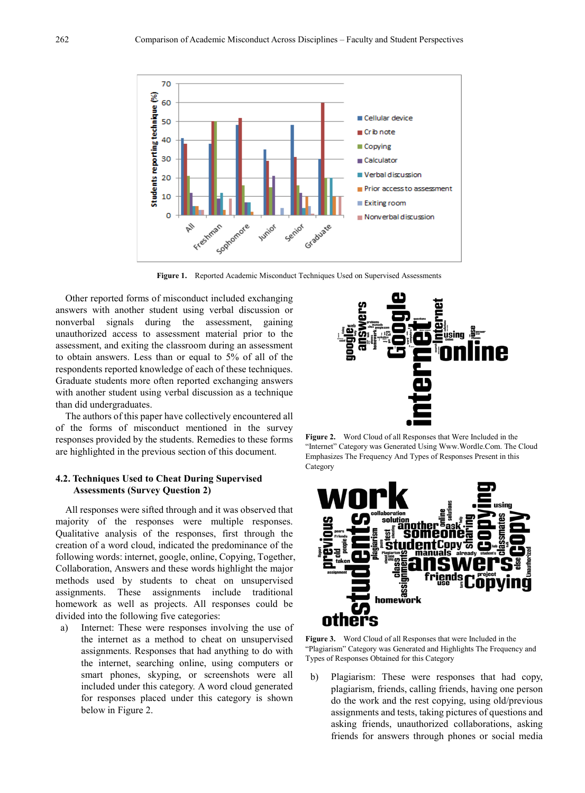

**Figure 1.** Reported Academic Misconduct Techniques Used on Supervised Assessments

Other reported forms of misconduct included exchanging answers with another student using verbal discussion or nonverbal signals during the assessment, gaining unauthorized access to assessment material prior to the assessment, and exiting the classroom during an assessment to obtain answers. Less than or equal to 5% of all of the respondents reported knowledge of each of these techniques. Graduate students more often reported exchanging answers with another student using verbal discussion as a technique than did undergraduates.

The authors of this paper have collectively encountered all of the forms of misconduct mentioned in the survey responses provided by the students. Remedies to these forms are highlighted in the previous section of this document.

#### **4.2. Techniques Used to Cheat During Supervised Assessments (Survey Question 2)**

All responses were sifted through and it was observed that majority of the responses were multiple responses. Qualitative analysis of the responses, first through the creation of a word cloud, indicated the predominance of the following words: internet, google, online, Copying, Together, Collaboration, Answers and these words highlight the major methods used by students to cheat on unsupervised assignments. These assignments include traditional homework as well as projects. All responses could be divided into the following five categories:

a) Internet: These were responses involving the use of the internet as a method to cheat on unsupervised assignments. Responses that had anything to do with the internet, searching online, using computers or smart phones, skyping, or screenshots were all included under this category. A word cloud generated for responses placed under this category is shown below in Figure 2.



**Figure 2.** Word Cloud of all Responses that Were Included in the "Internet" Category was Generated Using Www.Wordle.Com. The Cloud Emphasizes The Frequency And Types of Responses Present in this Category



**Figure 3.** Word Cloud of all Responses that were Included in the "Plagiarism" Category was Generated and Highlights The Frequency and Types of Responses Obtained for this Category

b) Plagiarism: These were responses that had copy, plagiarism, friends, calling friends, having one person do the work and the rest copying, using old/previous assignments and tests, taking pictures of questions and asking friends, unauthorized collaborations, asking friends for answers through phones or social media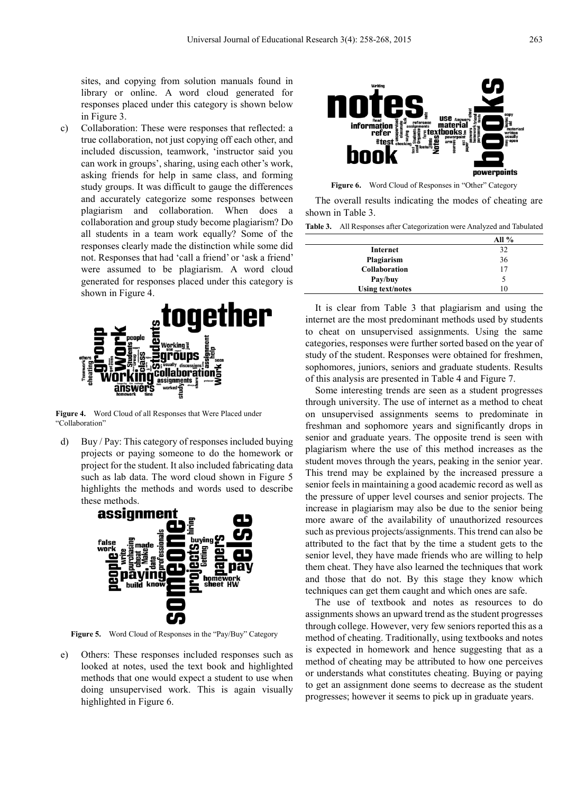sites, and copying from solution manuals found in library or online. A word cloud generated for responses placed under this category is shown below in Figure 3.

c) Collaboration: These were responses that reflected: a true collaboration, not just copying off each other, and included discussion, teamwork, 'instructor said you can work in groups', sharing, using each other's work, asking friends for help in same class, and forming study groups. It was difficult to gauge the differences and accurately categorize some responses between plagiarism and collaboration. When does a collaboration and group study become plagiarism? Do all students in a team work equally? Some of the responses clearly made the distinction while some did not. Responses that had 'call a friend' or 'ask a friend' were assumed to be plagiarism. A word cloud generated for responses placed under this category is shown in Figure 4.



**Figure 4.** Word Cloud of all Responses that Were Placed under "Collaboration"

d) Buy / Pay: This category of responses included buying projects or paying someone to do the homework or project for the student. It also included fabricating data such as lab data. The word cloud shown in Figure 5 highlights the methods and words used to describe these methods.



**Figure 5.** Word Cloud of Responses in the "Pay/Buy" Category

e) Others: These responses included responses such as looked at notes, used the text book and highlighted methods that one would expect a student to use when doing unsupervised work. This is again visually highlighted in Figure 6.



Figure 6. Word Cloud of Responses in "Other" Category

The overall results indicating the modes of cheating are shown in Table 3.

|  |  | <b>Table 3.</b> All Responses after Categorization were Analyzed and Tabulated |  |  |
|--|--|--------------------------------------------------------------------------------|--|--|
|--|--|--------------------------------------------------------------------------------|--|--|

|                         | All $%$ |
|-------------------------|---------|
| Internet                | 32      |
| Plagiarism              | 36      |
| <b>Collaboration</b>    | 17      |
| Pay/buy                 |         |
| <b>Using text/notes</b> | 10      |

It is clear from Table 3 that plagiarism and using the internet are the most predominant methods used by students to cheat on unsupervised assignments. Using the same categories, responses were further sorted based on the year of study of the student. Responses were obtained for freshmen, sophomores, juniors, seniors and graduate students. Results of this analysis are presented in Table 4 and Figure 7.

Some interesting trends are seen as a student progresses through university. The use of internet as a method to cheat on unsupervised assignments seems to predominate in freshman and sophomore years and significantly drops in senior and graduate years. The opposite trend is seen with plagiarism where the use of this method increases as the student moves through the years, peaking in the senior year. This trend may be explained by the increased pressure a senior feels in maintaining a good academic record as well as the pressure of upper level courses and senior projects. The increase in plagiarism may also be due to the senior being more aware of the availability of unauthorized resources such as previous projects/assignments. This trend can also be attributed to the fact that by the time a student gets to the senior level, they have made friends who are willing to help them cheat. They have also learned the techniques that work and those that do not. By this stage they know which techniques can get them caught and which ones are safe.

The use of textbook and notes as resources to do assignments shows an upward trend as the student progresses through college. However, very few seniors reported this as a method of cheating. Traditionally, using textbooks and notes is expected in homework and hence suggesting that as a method of cheating may be attributed to how one perceives or understands what constitutes cheating. Buying or paying to get an assignment done seems to decrease as the student progresses; however it seems to pick up in graduate years.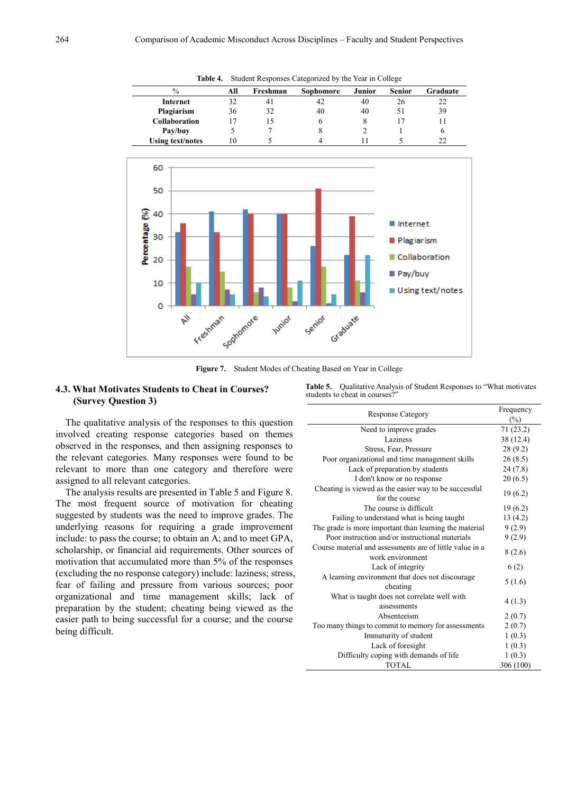| $\%$                    | All | Freshman       | Sophomore | Junior | <b>Senior</b> | Graduate |
|-------------------------|-----|----------------|-----------|--------|---------------|----------|
| Internet                | 32  | 4 <sub>1</sub> | 42        | 40     | 26            | 22       |
| Plagiarism              | 36  | 32             | 40        | 40     | 51            | 39       |
| <b>Collaboration</b>    |     |                | O         | x      |               |          |
| Pay/buy                 |     |                | δ         |        |               | 6        |
| <b>Using text/notes</b> | 10  |                |           |        |               |          |

**Table 4.** Student Responses Categorized by the Year in College



**Figure 7.** Student Modes of Cheating Based on Year in College

## **4.3. What Motivates Students to Cheat in Courses? (Survey Question 3)**

**Table 5.** Qualitative Analysis of Student Responses to "What motivates students to cheat in courses?"

The qualitative analysis of the responses to this question involved creating response categories based on themes observed in the responses, and then assigning responses to the relevant categories. Many responses were found to be relevant to more than one category and therefore were assigned to all relevant categories.

The analysis results are presented in Table 5 and Figure 8. The most frequent source of motivation for cheating suggested by students was the need to improve grades. The underlying reasons for requiring a grade improvement include: to pass the course; to obtain an A; and to meet GPA, scholarship, or financial aid requirements. Other sources of motivation that accumulated more than 5% of the responses (excluding the no response category) include: laziness; stress, fear of failing and pressure from various sources; poor organizational and time management skills; lack of preparation by the student; cheating being viewed as the easier path to being successful for a course; and the course being difficult.

| <b>Response Category</b>                                                                                  | Frequency |
|-----------------------------------------------------------------------------------------------------------|-----------|
|                                                                                                           | (%)       |
| Need to improve grades                                                                                    | 71(23.2)  |
| Laziness                                                                                                  | 38 (12.4) |
| Stress, Fear, Pressure                                                                                    | 28(9.2)   |
| Poor organizational and time management skills                                                            | 26(8.5)   |
| Lack of preparation by students                                                                           | 24(7.8)   |
| I don't know or no response                                                                               | 20(6.5)   |
| Cheating is viewed as the easier way to be successful.<br>for the course                                  | 19(6.2)   |
| The course is difficult                                                                                   | 19(6.2)   |
| Failing to understand what is being taught                                                                | 13(4.2)   |
|                                                                                                           |           |
| The grade is more important than learning the material<br>Poor instruction and/or instructional materials | 9(2.9)    |
|                                                                                                           | 9(2.9)    |
| Course material and assessments are of little value in a<br>work environment                              | 8(2.6)    |
| Lack of integrity                                                                                         | 6(2)      |
| A learning environment that does not discourage<br>cheating                                               | 5(1.6)    |
| What is taught does not correlate well with<br>assessments                                                | 4(1.3)    |
| Absenteeism                                                                                               | 2(0.7)    |
| Too many things to commit to memory for assessments                                                       | 2(0.7)    |
| Immaturity of student                                                                                     | 1(0.3)    |
| Lack of foresight                                                                                         | 1(0.3)    |
| Difficulty coping with demands of life                                                                    | 1(0.3)    |
| <b>TOTAL</b>                                                                                              | 306 (100) |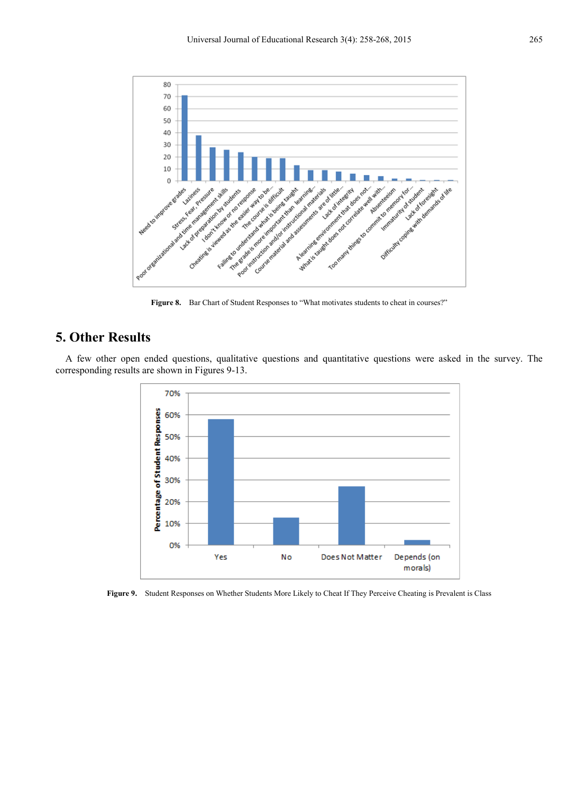

Figure 8. Bar Chart of Student Responses to "What motivates students to cheat in courses?"

# **5. Other Results**

A few other open ended questions, qualitative questions and quantitative questions were asked in the survey. The corresponding results are shown in Figures 9-13.



Figure 9. Student Responses on Whether Students More Likely to Cheat If They Perceive Cheating is Prevalent is Class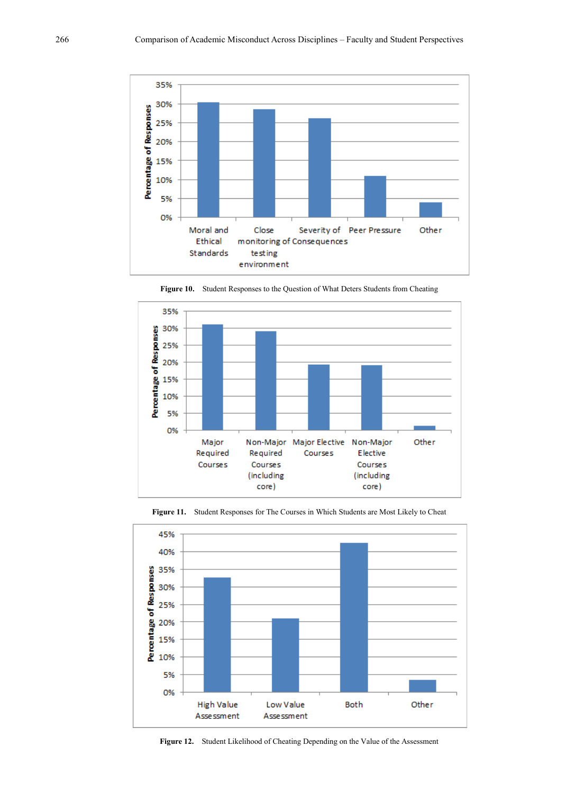



**Figure 10.** Student Responses to the Question of What Deters Students from Cheating



**Figure 11.** Student Responses for The Courses in Which Students are Most Likely to Cheat

**Figure 12.** Student Likelihood of Cheating Depending on the Value of the Assessment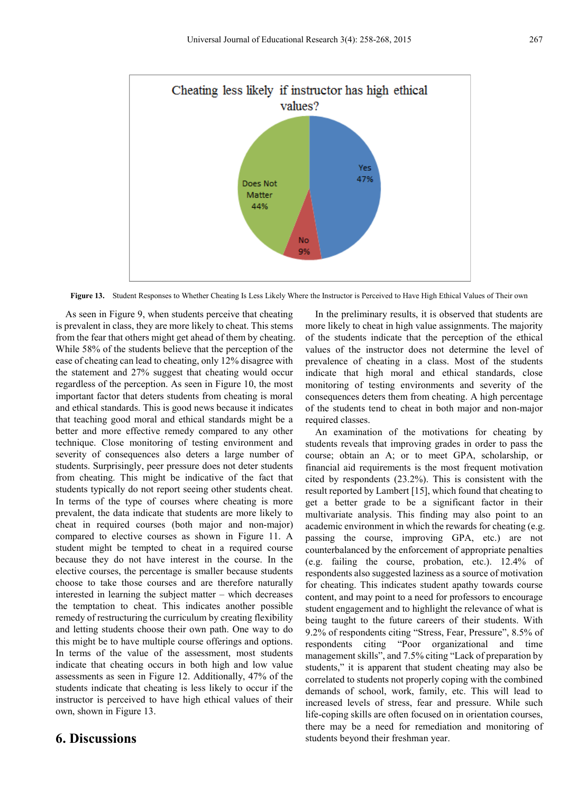

**Figure 13.** Student Responses to Whether Cheating Is Less Likely Where the Instructor is Perceived to Have High Ethical Values of Their own

As seen in Figure 9, when students perceive that cheating is prevalent in class, they are more likely to cheat. This stems from the fear that others might get ahead of them by cheating. While 58% of the students believe that the perception of the ease of cheating can lead to cheating, only 12% disagree with the statement and 27% suggest that cheating would occur regardless of the perception. As seen in Figure 10, the most important factor that deters students from cheating is moral and ethical standards. This is good news because it indicates that teaching good moral and ethical standards might be a better and more effective remedy compared to any other technique. Close monitoring of testing environment and severity of consequences also deters a large number of students. Surprisingly, peer pressure does not deter students from cheating. This might be indicative of the fact that students typically do not report seeing other students cheat. In terms of the type of courses where cheating is more prevalent, the data indicate that students are more likely to cheat in required courses (both major and non-major) compared to elective courses as shown in Figure 11. A student might be tempted to cheat in a required course because they do not have interest in the course. In the elective courses, the percentage is smaller because students choose to take those courses and are therefore naturally interested in learning the subject matter – which decreases the temptation to cheat. This indicates another possible remedy of restructuring the curriculum by creating flexibility and letting students choose their own path. One way to do this might be to have multiple course offerings and options. In terms of the value of the assessment, most students indicate that cheating occurs in both high and low value assessments as seen in Figure 12. Additionally, 47% of the students indicate that cheating is less likely to occur if the instructor is perceived to have high ethical values of their own, shown in Figure 13.

## **6. Discussions**

In the preliminary results, it is observed that students are more likely to cheat in high value assignments. The majority of the students indicate that the perception of the ethical values of the instructor does not determine the level of prevalence of cheating in a class. Most of the students indicate that high moral and ethical standards, close monitoring of testing environments and severity of the consequences deters them from cheating. A high percentage of the students tend to cheat in both major and non-major required classes.

An examination of the motivations for cheating by students reveals that improving grades in order to pass the course; obtain an A; or to meet GPA, scholarship, or financial aid requirements is the most frequent motivation cited by respondents (23.2%). This is consistent with the result reported by Lambert [15], which found that cheating to get a better grade to be a significant factor in their multivariate analysis. This finding may also point to an academic environment in which the rewards for cheating (e.g. passing the course, improving GPA, etc.) are not counterbalanced by the enforcement of appropriate penalties (e.g. failing the course, probation, etc.). 12.4% of respondents also suggested laziness as a source of motivation for cheating. This indicates student apathy towards course content, and may point to a need for professors to encourage student engagement and to highlight the relevance of what is being taught to the future careers of their students. With 9.2% of respondents citing "Stress, Fear, Pressure", 8.5% of respondents citing "Poor organizational and time management skills", and 7.5% citing "Lack of preparation by students," it is apparent that student cheating may also be correlated to students not properly coping with the combined demands of school, work, family, etc. This will lead to increased levels of stress, fear and pressure. While such life-coping skills are often focused on in orientation courses, there may be a need for remediation and monitoring of students beyond their freshman year.